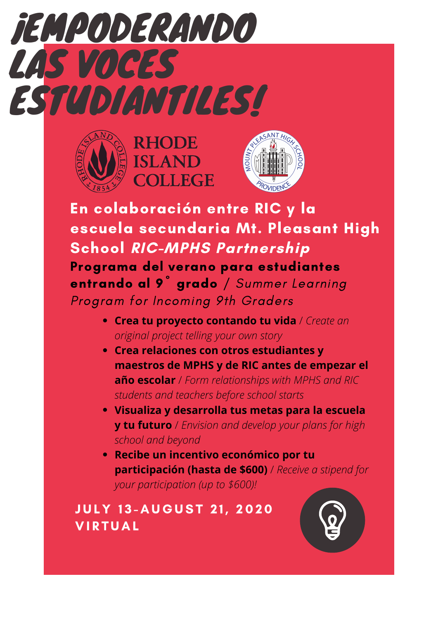







En colaboración entre RIC y la escuela secundaria Mt. Pleasant High School RIC-MPHS Partnership Programa del verano para estudiantes entrando al 9<sup>°</sup> grado / Summer Learning Program for Incoming 9th Graders

- **Crea tu proyecto contando tu vida** / *Create an original project telling your own story*
- **Crea relaciones con otros estudiantes y maestros de MPHS y de RIC antes de empezar el año escolar** / *Form relationships with MPHS and RIC students and teachers before school starts*
- **Visualiza y desarrolla tus metas para la escuela y tu futuro** / *Envision and develop your plans for high school and beyond*
- **Recibe un incentivo económico por tu participación (hasta de \$600)** / *Receive a stipend for your participation (up to \$600)!*

**JULY 13-AUGUST 21, 2020 VIRTUAL**